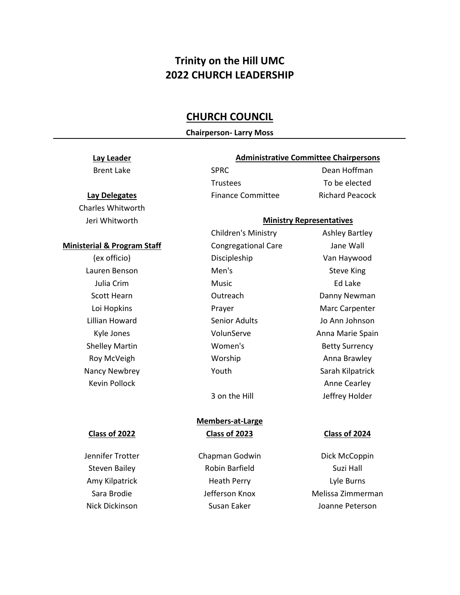# **Trinity on the Hill UMC 2022 CHURCH LEADERSHIP**

## **CHURCH COUNCIL**

### **Chairperson- Larry Moss**

### **Lay Leader**

Charles Whitworth Jeri Whitworth

### **Administrative Committee Chairpersons**

Trustees To be elected

Brent Lake SPRC SPRC Dean Hoffman

### **Ministry Representatives**

Children's Ministry **Ashley Bartley Ministerial & Program Staff Congregational Care** Jane Wall (ex officio) Discipleship Van Haywood Lauren Benson **Men's** Men's Steve King Julia Crim Music Ed Lake Scott Hearn **Danny Newman** Outreach **Danny Newman** Loi Hopkins **Marc Carpenter** Prayer **Marc Carpenter** Marc Carpenter Lillian Howard Senior Adults Jo Ann Johnson Kyle Jones **Marie Spain** VolunServe **Anna Marie Spain** Shelley Martin **Martin Community** Women's **Betty Surrency** Roy McVeigh **Markow McVeigh** Worship **Markow Anna Brawley** Nancy Newbrey **Nancy Newbrey Nancy Newbrey Sarah Kilpatrick** Kevin Pollock **Anne Cearley** 3 on the Hill Jeffrey Holder

# **Members-at-Large**

Steven Bailey **Robin Barfield** Suzi Hall Amy Kilpatrick **Heath Perry Lyle Burns** 

Jennifer Trotter **Chapman Godwin** Dick McCoppin Sara Brodie **Gravin Communist Communist Communist Communist Communist Communist Communist Communist Communist Communist Communist Communist Communist Communist Communist Communist Communist Communist Communist Communist Co** Nick Dickinson Susan Eaker Joanne Peterson

### **Class of 2022 Class of 2023 Class of 2024**

**Lay Delegates** Finance Committee Richard Peacock